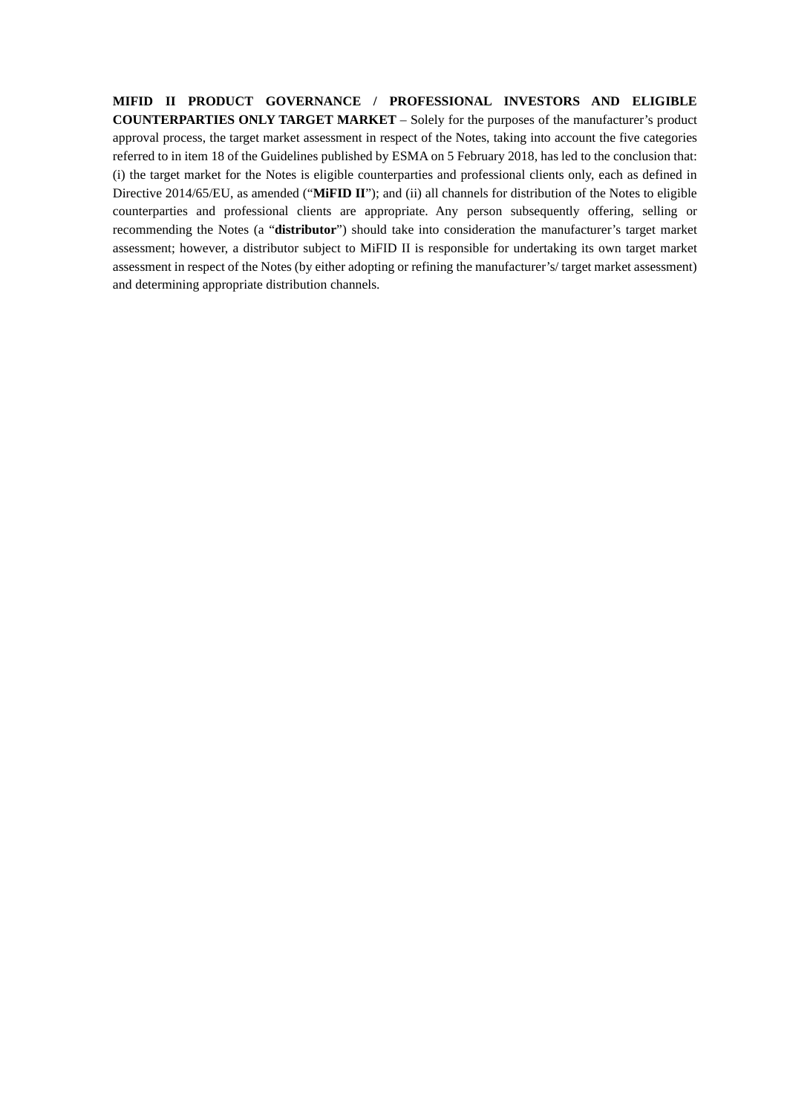**MIFID II PRODUCT GOVERNANCE / PROFESSIONAL INVESTORS AND ELIGIBLE COUNTERPARTIES ONLY TARGET MARKET** – Solely for the purposes of the manufacturer's product approval process, the target market assessment in respect of the Notes, taking into account the five categories referred to in item 18 of the Guidelines published by ESMA on 5 February 2018, has led to the conclusion that: (i) the target market for the Notes is eligible counterparties and professional clients only, each as defined in Directive 2014/65/EU, as amended ("**MiFID II**"); and (ii) all channels for distribution of the Notes to eligible counterparties and professional clients are appropriate. Any person subsequently offering, selling or recommending the Notes (a "**distributor**") should take into consideration the manufacturer's target market assessment; however, a distributor subject to MiFID II is responsible for undertaking its own target market assessment in respect of the Notes (by either adopting or refining the manufacturer's/ target market assessment) and determining appropriate distribution channels.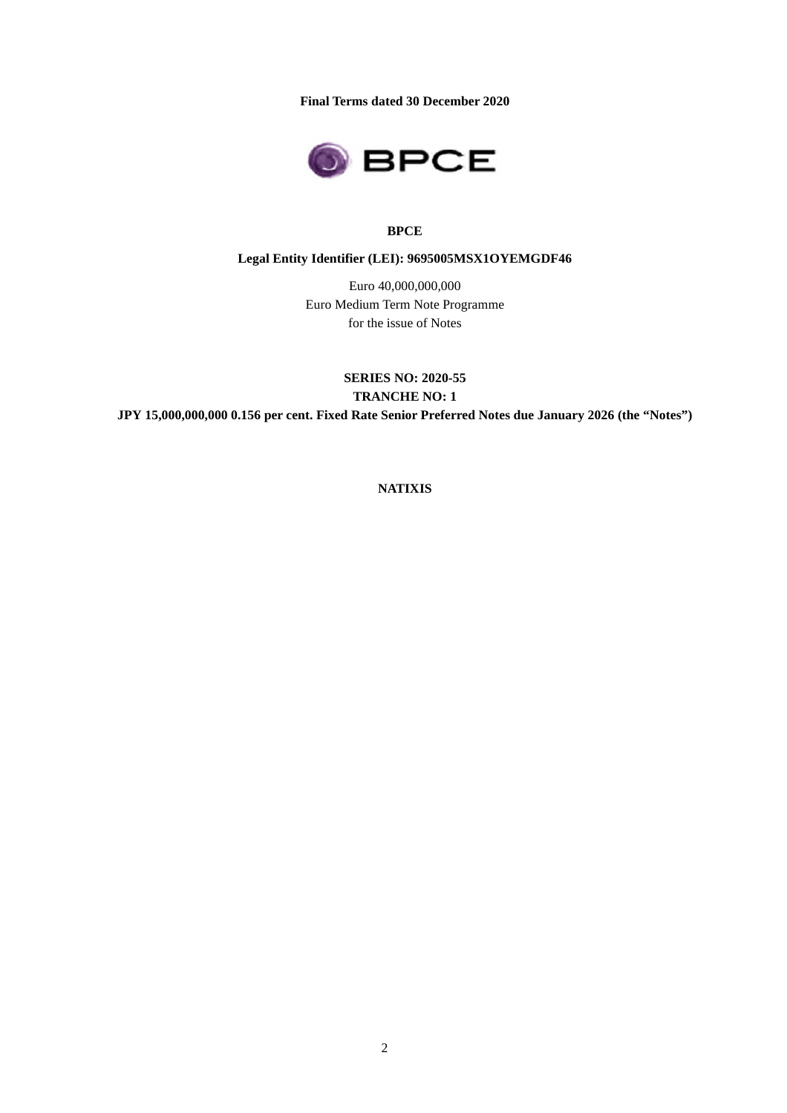**Final Terms dated 30 December 2020**



## **BPCE**

## **Legal Entity Identifier (LEI): 9695005MSX1OYEMGDF46**

Euro 40,000,000,000 Euro Medium Term Note Programme for the issue of Notes

**SERIES NO: 2020-55 TRANCHE NO: 1 JPY 15,000,000,000 0.156 per cent. Fixed Rate Senior Preferred Notes due January 2026 (the "Notes")**

**NATIXIS**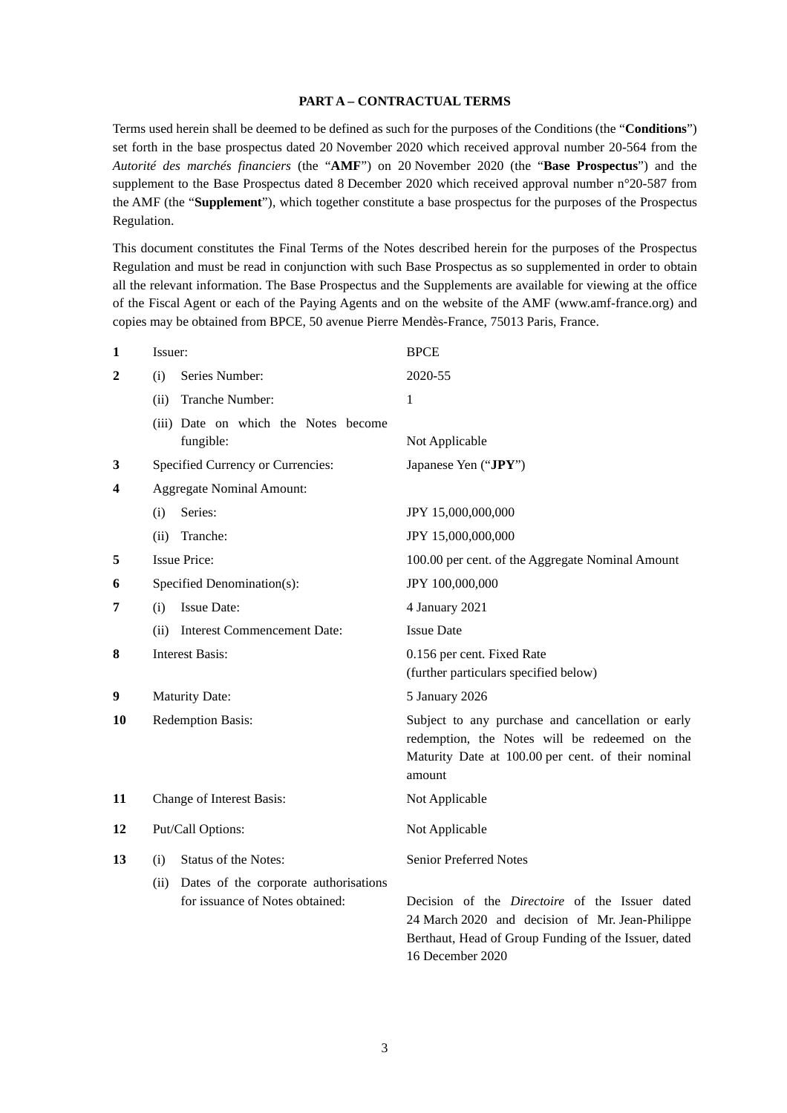#### **PART A – CONTRACTUAL TERMS**

Terms used herein shall be deemed to be defined as such for the purposes of the Conditions (the "**Conditions**") set forth in the base prospectus dated 20 November 2020 which received approval number 20-564 from the *Autorité des marchés financiers* (the "**AMF**") on 20 November 2020 (the "**Base Prospectus**") and the supplement to the Base Prospectus dated 8 December 2020 which received approval number n°20-587 from the AMF (the "**Supplement**"), which together constitute a base prospectus for the purposes of the Prospectus Regulation.

This document constitutes the Final Terms of the Notes described herein for the purposes of the Prospectus Regulation and must be read in conjunction with such Base Prospectus as so supplemented in order to obtain all the relevant information. The Base Prospectus and the Supplements are available for viewing at the office of the Fiscal Agent or each of the Paying Agents and on the website of the AMF (www.amf-france.org) and copies may be obtained from BPCE, 50 avenue Pierre Mendès-France, 75013 Paris, France.

| 1            | Issuer:                                       | <b>BPCE</b>                                                                                        |  |
|--------------|-----------------------------------------------|----------------------------------------------------------------------------------------------------|--|
| $\mathbf{2}$ | Series Number:<br>(i)                         | 2020-55                                                                                            |  |
|              | Tranche Number:<br>(ii)                       | $\mathbf{1}$                                                                                       |  |
|              | (iii) Date on which the Notes become          |                                                                                                    |  |
|              | fungible:                                     | Not Applicable                                                                                     |  |
| 3            | Specified Currency or Currencies:             | Japanese Yen ("JPY")                                                                               |  |
| 4            | <b>Aggregate Nominal Amount:</b>              |                                                                                                    |  |
|              | Series:<br>(i)                                | JPY 15,000,000,000                                                                                 |  |
|              | Tranche:<br>(ii)                              | JPY 15,000,000,000                                                                                 |  |
| 5            | <b>Issue Price:</b>                           | 100.00 per cent. of the Aggregate Nominal Amount                                                   |  |
| 6            | Specified Denomination(s):                    | JPY 100,000,000                                                                                    |  |
| 7            | <b>Issue Date:</b><br>(i)                     | 4 January 2021                                                                                     |  |
|              | <b>Interest Commencement Date:</b><br>(ii)    | <b>Issue Date</b>                                                                                  |  |
| 8            | <b>Interest Basis:</b>                        | 0.156 per cent. Fixed Rate                                                                         |  |
|              |                                               | (further particulars specified below)                                                              |  |
| 9            | <b>Maturity Date:</b>                         | 5 January 2026                                                                                     |  |
| 10           | <b>Redemption Basis:</b>                      | Subject to any purchase and cancellation or early<br>redemption, the Notes will be redeemed on the |  |
|              |                                               | Maturity Date at 100.00 per cent. of their nominal<br>amount                                       |  |
| 11           | Change of Interest Basis:                     | Not Applicable                                                                                     |  |
|              |                                               |                                                                                                    |  |
| 12           | Put/Call Options:                             | Not Applicable                                                                                     |  |
| 13           | <b>Status of the Notes:</b><br>(i)            | <b>Senior Preferred Notes</b>                                                                      |  |
|              | Dates of the corporate authorisations<br>(ii) |                                                                                                    |  |
|              | for issuance of Notes obtained:               | Decision of the <i>Directoire</i> of the Issuer dated                                              |  |
|              |                                               | 24 March 2020 and decision of Mr. Jean-Philippe                                                    |  |
|              |                                               | Berthaut, Head of Group Funding of the Issuer, dated                                               |  |

16 December 2020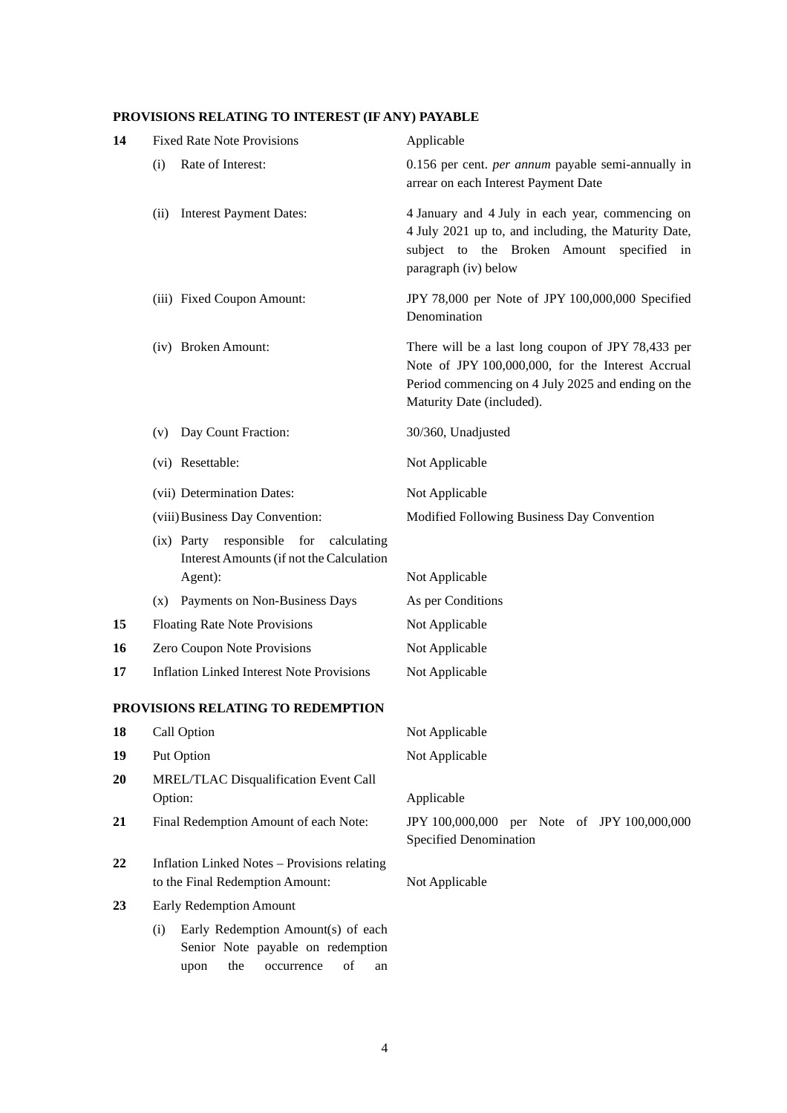# **PROVISIONS RELATING TO INTEREST (IF ANY) PAYABLE**

| 14                  | <b>Fixed Rate Note Provisions</b>                                                                                       | Applicable                                                                                                                                                                                 |  |
|---------------------|-------------------------------------------------------------------------------------------------------------------------|--------------------------------------------------------------------------------------------------------------------------------------------------------------------------------------------|--|
|                     | Rate of Interest:<br>(i)                                                                                                | 0.156 per cent. <i>per annum</i> payable semi-annually in<br>arrear on each Interest Payment Date                                                                                          |  |
|                     | <b>Interest Payment Dates:</b><br>(ii)                                                                                  | 4 January and 4 July in each year, commencing on<br>4 July 2021 up to, and including, the Maturity Date,<br>subject to the Broken Amount specified in<br>paragraph (iv) below              |  |
|                     | (iii) Fixed Coupon Amount:                                                                                              | JPY 78,000 per Note of JPY 100,000,000 Specified<br>Denomination                                                                                                                           |  |
| (iv) Broken Amount: |                                                                                                                         | There will be a last long coupon of JPY 78,433 per<br>Note of JPY 100,000,000, for the Interest Accrual<br>Period commencing on 4 July 2025 and ending on the<br>Maturity Date (included). |  |
|                     | Day Count Fraction:<br>(v)                                                                                              | 30/360, Unadjusted                                                                                                                                                                         |  |
|                     | (vi) Resettable:                                                                                                        | Not Applicable                                                                                                                                                                             |  |
|                     | (vii) Determination Dates:                                                                                              | Not Applicable                                                                                                                                                                             |  |
|                     | (viii) Business Day Convention:                                                                                         | Modified Following Business Day Convention                                                                                                                                                 |  |
|                     | (ix) Party responsible<br>for<br>calculating<br>Interest Amounts (if not the Calculation                                |                                                                                                                                                                                            |  |
|                     | Agent):                                                                                                                 | Not Applicable                                                                                                                                                                             |  |
|                     | Payments on Non-Business Days<br>(x)                                                                                    | As per Conditions                                                                                                                                                                          |  |
| 15                  | <b>Floating Rate Note Provisions</b>                                                                                    | Not Applicable                                                                                                                                                                             |  |
| 16<br>17            | Zero Coupon Note Provisions<br><b>Inflation Linked Interest Note Provisions</b>                                         | Not Applicable<br>Not Applicable                                                                                                                                                           |  |
|                     |                                                                                                                         |                                                                                                                                                                                            |  |
|                     | PROVISIONS RELATING TO REDEMPTION                                                                                       |                                                                                                                                                                                            |  |
| 18                  | Call Option                                                                                                             | Not Applicable                                                                                                                                                                             |  |
| 19                  | Put Option                                                                                                              | Not Applicable                                                                                                                                                                             |  |
| 20                  | MREL/TLAC Disqualification Event Call<br>Option:                                                                        | Applicable                                                                                                                                                                                 |  |
| 21                  | Final Redemption Amount of each Note:                                                                                   | JPY 100,000,000 per Note of JPY 100,000,000<br>Specified Denomination                                                                                                                      |  |
| 22                  | <b>Inflation Linked Notes - Provisions relating</b><br>to the Final Redemption Amount:                                  | Not Applicable                                                                                                                                                                             |  |
| 23                  | Early Redemption Amount                                                                                                 |                                                                                                                                                                                            |  |
|                     | Early Redemption Amount(s) of each<br>(i)<br>Senior Note payable on redemption<br>of<br>the<br>upon<br>occurrence<br>an |                                                                                                                                                                                            |  |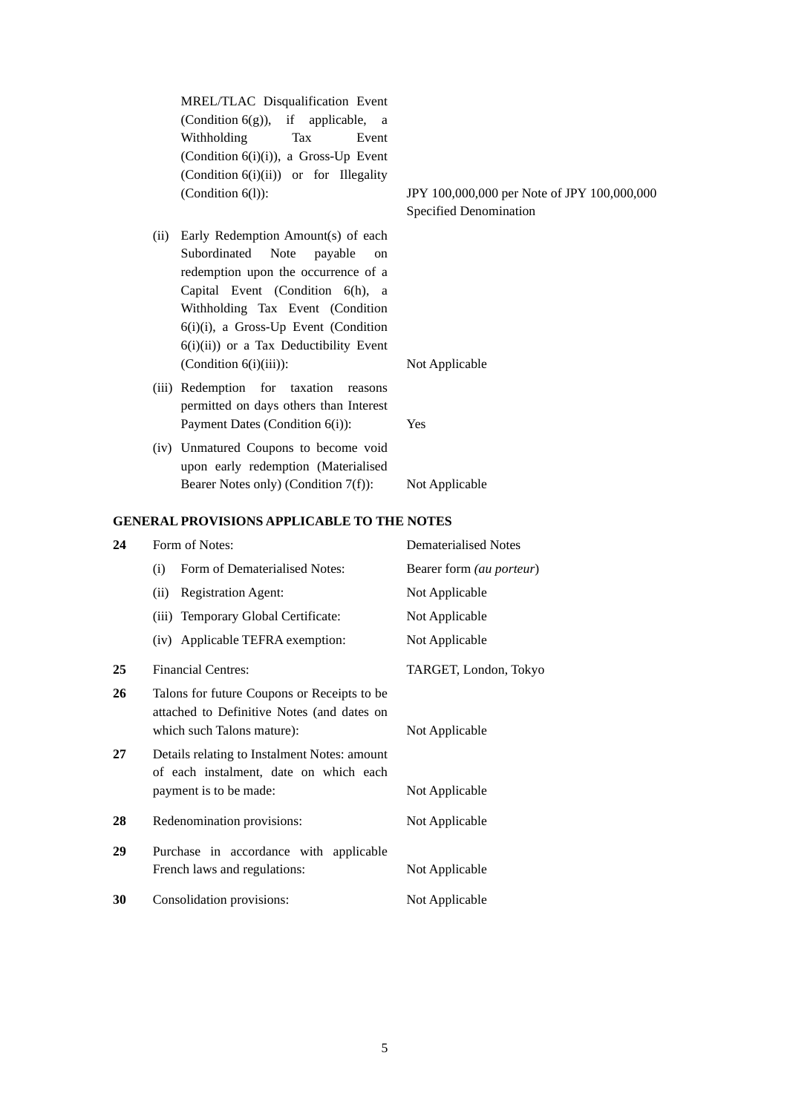MREL/TLAC Disqualification Event (Condition 6(g)), if applicable, a Withholding Tax Event (Condition 6(i)(i)), a Gross-Up Event (Condition 6(i)(ii)) or for Illegality

- (ii) Early Redemption Amount(s) of each Subordinated Note payable on redemption upon the occurrence of a Capital Event (Condition 6(h), a Withholding Tax Event (Condition  $6(i)(i)$ , a Gross-Up Event (Condition  $6(i)(ii)$  or a Tax Deductibility Event (Condition 6(i)(iii)): Not Applicable
- (iii) Redemption for taxation reasons permitted on days others than Interest Payment Dates (Condition 6(i)): Yes
- (iv) Unmatured Coupons to become void upon early redemption (Materialised Bearer Notes only) (Condition 7(f)): Not Applicable

#### **GENERAL PROVISIONS APPLICABLE TO THE NOTES**

| 24 | Form of Notes:                                                                                                          | <b>Dematerialised Notes</b> |
|----|-------------------------------------------------------------------------------------------------------------------------|-----------------------------|
|    | Form of Dematerialised Notes:<br>(i)                                                                                    | Bearer form (au porteur)    |
|    | <b>Registration Agent:</b><br>(ii)                                                                                      | Not Applicable              |
|    | (iii) Temporary Global Certificate:                                                                                     | Not Applicable              |
|    | (iv) Applicable TEFRA exemption:                                                                                        | Not Applicable              |
| 25 | <b>Financial Centres:</b>                                                                                               | TARGET, London, Tokyo       |
| 26 | Talons for future Coupons or Receipts to be<br>attached to Definitive Notes (and dates on<br>which such Talons mature): | Not Applicable              |
| 27 | Details relating to Instalment Notes: amount<br>of each instalment, date on which each<br>payment is to be made:        | Not Applicable              |
| 28 | Redenomination provisions:                                                                                              | Not Applicable              |
| 29 | Purchase in accordance with applicable<br>French laws and regulations:                                                  | Not Applicable              |
| 30 | Consolidation provisions:                                                                                               | Not Applicable              |

## (Condition 6(l)): JPY 100,000,000 per Note of JPY 100,000,000 Specified Denomination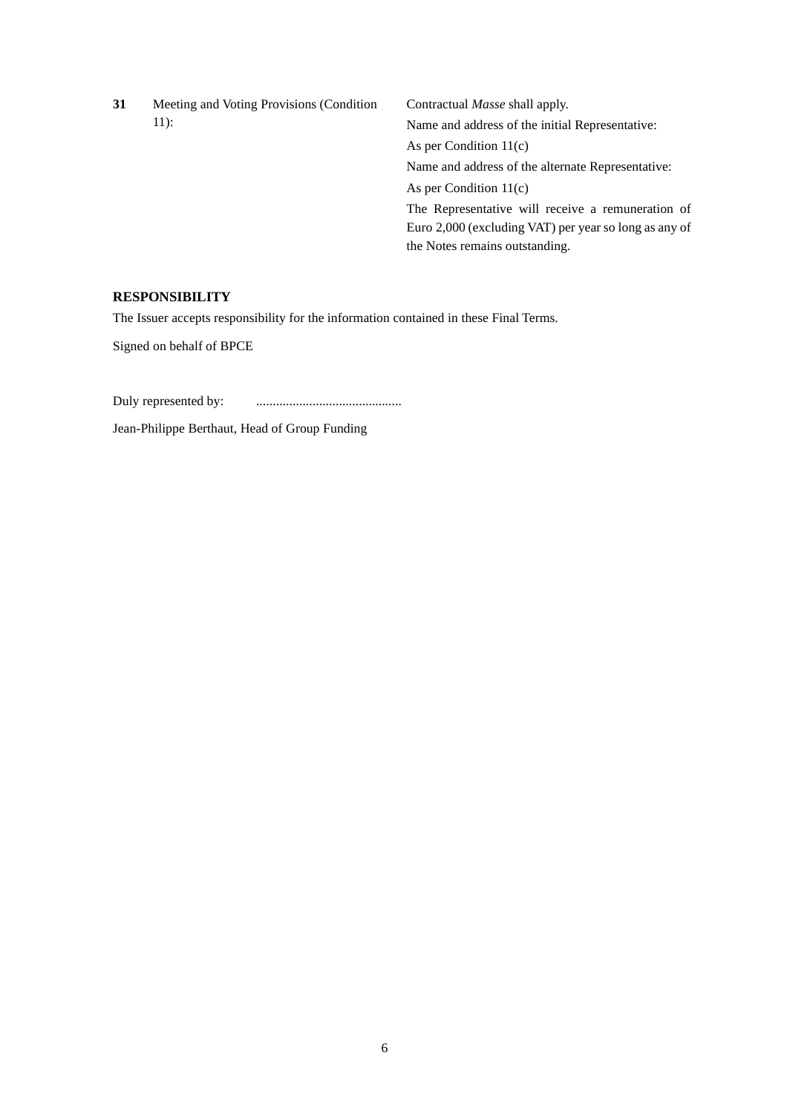| 31 | Meeting and Voting Provisions (Condition)<br>$11$ : | Contractual <i>Masse</i> shall apply.                 |  |
|----|-----------------------------------------------------|-------------------------------------------------------|--|
|    |                                                     | Name and address of the initial Representative:       |  |
|    |                                                     | As per Condition $11(c)$                              |  |
|    |                                                     | Name and address of the alternate Representative:     |  |
|    |                                                     | As per Condition $11(c)$                              |  |
|    |                                                     | The Representative will receive a remuneration of     |  |
|    |                                                     | Euro 2,000 (excluding VAT) per year so long as any of |  |
|    |                                                     | the Notes remains outstanding.                        |  |

## **RESPONSIBILITY**

The Issuer accepts responsibility for the information contained in these Final Terms.

Signed on behalf of BPCE

Duly represented by: ............................................

Jean-Philippe Berthaut, Head of Group Funding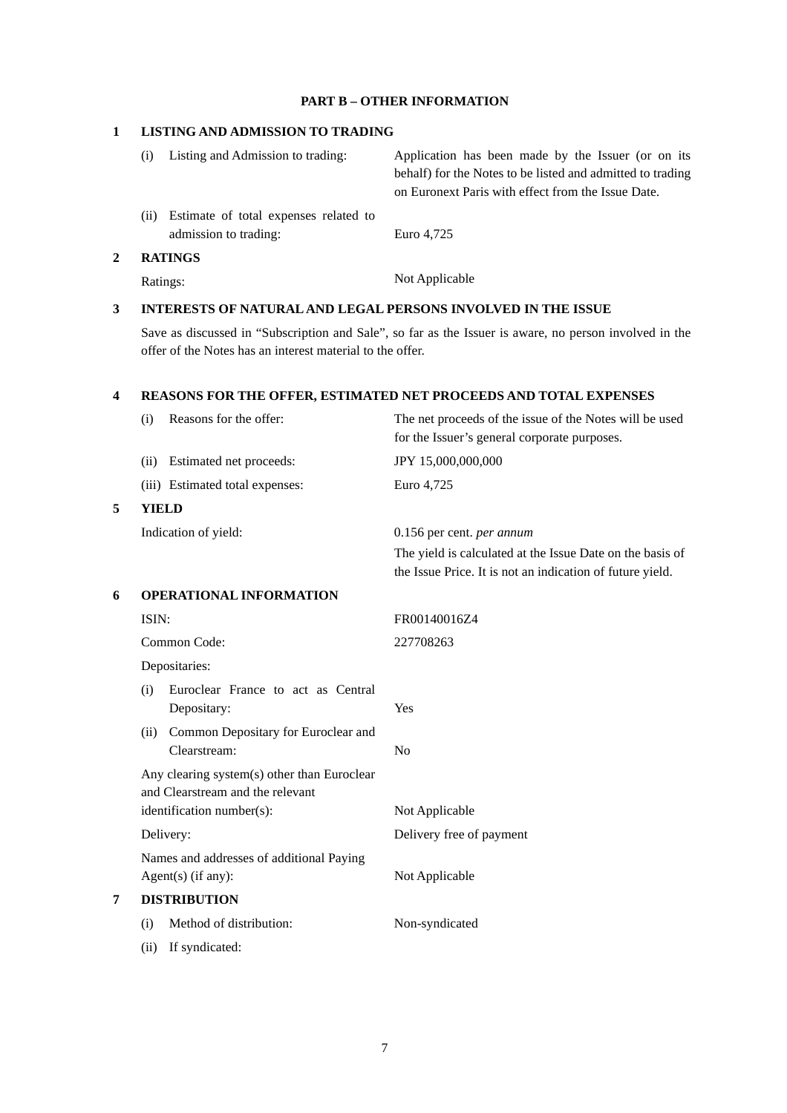## **PART B – OTHER INFORMATION**

## **1 LISTING AND ADMISSION TO TRADING**

| <b>RATINGS</b>                                                        |                                                                                                                  |
|-----------------------------------------------------------------------|------------------------------------------------------------------------------------------------------------------|
| Estimate of total expenses related to<br>(i)<br>admission to trading: | Euro 4,725                                                                                                       |
|                                                                       | behalf) for the Notes to be listed and admitted to trading<br>on Euronext Paris with effect from the Issue Date. |
| Listing and Admission to trading:<br>$\left( i\right)$                | Application has been made by the Issuer (or on its                                                               |

**5 YIELD**

# Ratings: Not Applicable

## **3 INTERESTS OF NATURAL AND LEGAL PERSONS INVOLVED IN THE ISSUE**

Save as discussed in "Subscription and Sale", so far as the Issuer is aware, no person involved in the offer of the Notes has an interest material to the offer.

## **4 REASONS FOR THE OFFER, ESTIMATED NET PROCEEDS AND TOTAL EXPENSES**

|                                                                                 | Reasons for the offer:<br>(i)                               | The net proceeds of the issue of the Notes will be used<br>for the Issuer's general corporate purposes.                |
|---------------------------------------------------------------------------------|-------------------------------------------------------------|------------------------------------------------------------------------------------------------------------------------|
|                                                                                 | Estimated net proceeds:<br>(ii)                             | JPY 15,000,000,000                                                                                                     |
|                                                                                 | (iii) Estimated total expenses:                             | Euro 4,725                                                                                                             |
| 5                                                                               | <b>YIELD</b>                                                |                                                                                                                        |
|                                                                                 | Indication of yield:                                        | 0.156 per cent. per annum                                                                                              |
|                                                                                 |                                                             | The yield is calculated at the Issue Date on the basis of<br>the Issue Price. It is not an indication of future yield. |
| 6                                                                               | <b>OPERATIONAL INFORMATION</b>                              |                                                                                                                        |
|                                                                                 | ISIN:                                                       | FR00140016Z4                                                                                                           |
|                                                                                 | Common Code:                                                | 227708263                                                                                                              |
|                                                                                 | Depositaries:                                               |                                                                                                                        |
|                                                                                 | Euroclear France to act as Central<br>(i)<br>Depositary:    | Yes                                                                                                                    |
|                                                                                 | Common Depositary for Euroclear and<br>(ii)<br>Clearstream: | N <sub>o</sub>                                                                                                         |
| Any clearing system(s) other than Euroclear<br>and Clearstream and the relevant |                                                             |                                                                                                                        |
|                                                                                 | identification number(s):                                   | Not Applicable                                                                                                         |
| Delivery:<br>Names and addresses of additional Paying<br>$Agent(s)$ (if any):   |                                                             | Delivery free of payment                                                                                               |
|                                                                                 |                                                             | Not Applicable                                                                                                         |
| <b>DISTRIBUTION</b><br>7                                                        |                                                             |                                                                                                                        |
|                                                                                 | Method of distribution:<br>(i)                              | Non-syndicated                                                                                                         |
|                                                                                 | If syndicated:<br>(ii)                                      |                                                                                                                        |